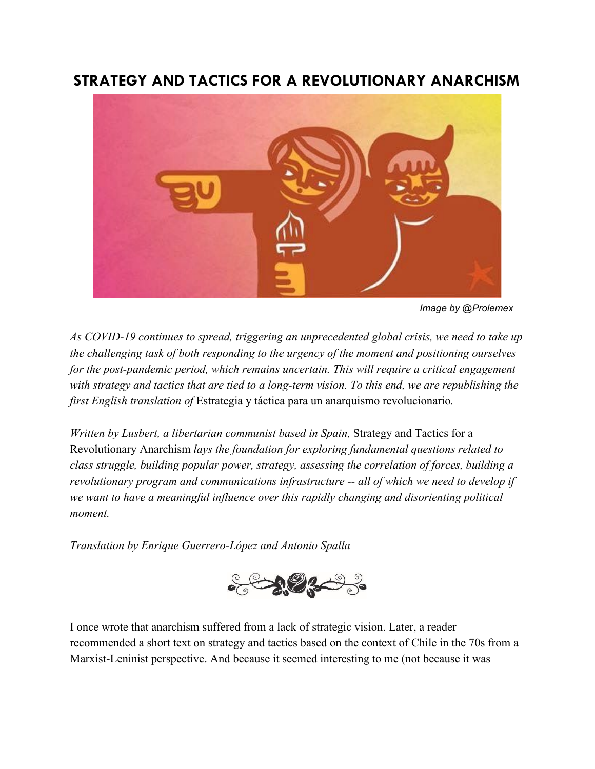# **STRATEGY AND TACTICS FOR A REVOLUTIONARY ANARCHISM**



*Image by @Prolemex*

*As COVID-19 continues to spread, triggering an unprecedented global crisis, we need to take up the challenging task of both responding to the urgency of the moment and positioning ourselves for the post-pandemic period, which remains uncertain. This will require a critical engagement with strategy and tactics that are tied to a long-term vision. To this end, we are republishing the first English translation of* Estrategia y táctica para un anarquismo revolucionario*.*

*Written by Lusbert, a libertarian communist based in Spain, Strategy and Tactics for a* Revolutionary Anarchism *lays the foundation for exploring fundamental questions related to class struggle, building popular power, strategy, assessing the correlation of forces, building a revolutionary program and communications infrastructure -- all of which we need to develop if we want to have a meaningful influence over this rapidly changing and disorienting political moment.*

*Translation by Enrique Guerrero-López and Antonio Spalla*



I once wrote that anarchism suffered from a lack of strategic vision. Later, a reader recommended a short text on strategy and tactics based on the context of Chile in the 70s from a Marxist-Leninist perspective. And because it seemed interesting to me (not because it was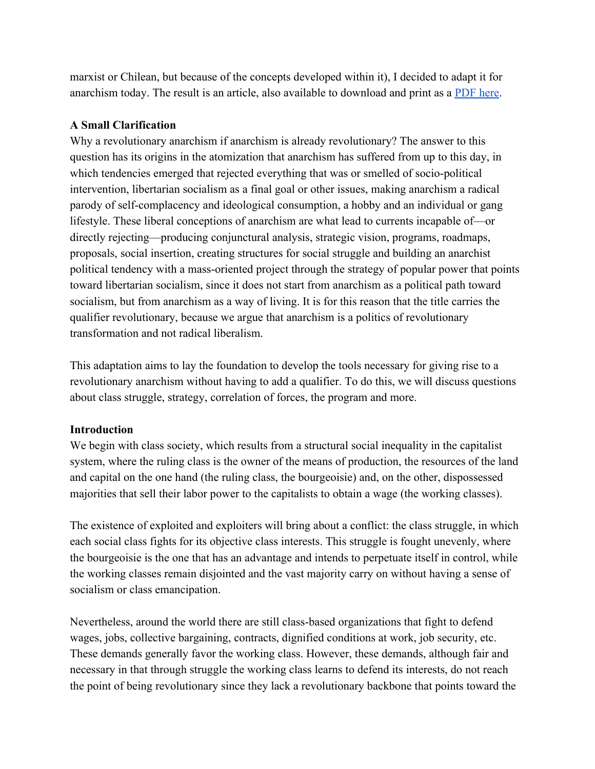marxist or Chilean, but because of the concepts developed within it), I decided to adapt it for anarchism today. The result is an article, also available to download and print as a [PDF here.](https://drive.google.com/drive/folders/0BwTm5UulmfjAa2o3QnNWR3VteXc)

## **A Small Clarification**

Why a revolutionary anarchism if anarchism is already revolutionary? The answer to this question has its origins in the atomization that anarchism has suffered from up to this day, in which tendencies emerged that rejected everything that was or smelled of socio-political intervention, libertarian socialism as a final goal or other issues, making anarchism a radical parody of self-complacency and ideological consumption, a hobby and an individual or gang lifestyle. These liberal conceptions of anarchism are what lead to currents incapable of—or directly rejecting—producing conjunctural analysis, strategic vision, programs, roadmaps, proposals, social insertion, creating structures for social struggle and building an anarchist political tendency with a mass-oriented project through the strategy of popular power that points toward libertarian socialism, since it does not start from anarchism as a political path toward socialism, but from anarchism as a way of living. It is for this reason that the title carries the qualifier revolutionary, because we argue that anarchism is a politics of revolutionary transformation and not radical liberalism.

This adaptation aims to lay the foundation to develop the tools necessary for giving rise to a revolutionary anarchism without having to add a qualifier. To do this, we will discuss questions about class struggle, strategy, correlation of forces, the program and more.

## **Introduction**

We begin with class society, which results from a structural social inequality in the capitalist system, where the ruling class is the owner of the means of production, the resources of the land and capital on the one hand (the ruling class, the bourgeoisie) and, on the other, dispossessed majorities that sell their labor power to the capitalists to obtain a wage (the working classes).

The existence of exploited and exploiters will bring about a conflict: the class struggle, in which each social class fights for its objective class interests. This struggle is fought unevenly, where the bourgeoisie is the one that has an advantage and intends to perpetuate itself in control, while the working classes remain disjointed and the vast majority carry on without having a sense of socialism or class emancipation.

Nevertheless, around the world there are still class-based organizations that fight to defend wages, jobs, collective bargaining, contracts, dignified conditions at work, job security, etc. These demands generally favor the working class. However, these demands, although fair and necessary in that through struggle the working class learns to defend its interests, do not reach the point of being revolutionary since they lack a revolutionary backbone that points toward the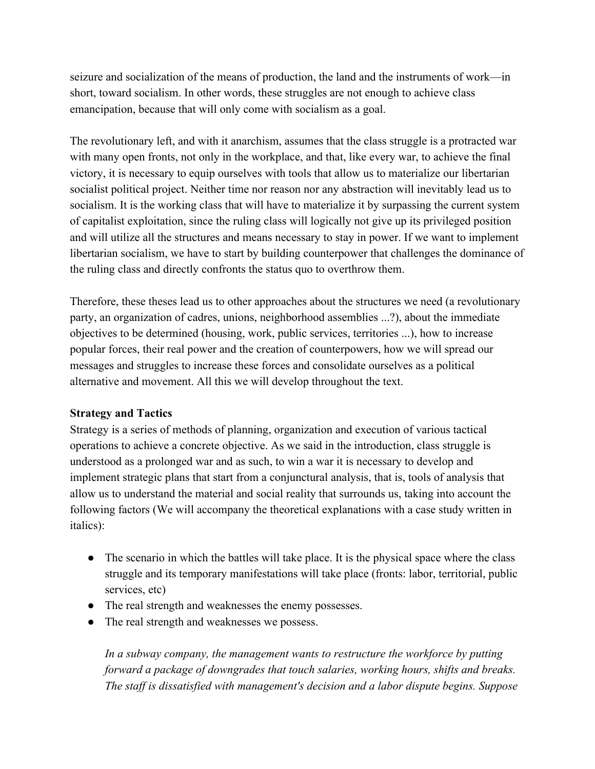seizure and socialization of the means of production, the land and the instruments of work—in short, toward socialism. In other words, these struggles are not enough to achieve class emancipation, because that will only come with socialism as a goal.

The revolutionary left, and with it anarchism, assumes that the class struggle is a protracted war with many open fronts, not only in the workplace, and that, like every war, to achieve the final victory, it is necessary to equip ourselves with tools that allow us to materialize our libertarian socialist political project. Neither time nor reason nor any abstraction will inevitably lead us to socialism. It is the working class that will have to materialize it by surpassing the current system of capitalist exploitation, since the ruling class will logically not give up its privileged position and will utilize all the structures and means necessary to stay in power. If we want to implement libertarian socialism, we have to start by building counterpower that challenges the dominance of the ruling class and directly confronts the status quo to overthrow them.

Therefore, these theses lead us to other approaches about the structures we need (a revolutionary party, an organization of cadres, unions, neighborhood assemblies ...?), about the immediate objectives to be determined (housing, work, public services, territories ...), how to increase popular forces, their real power and the creation of counterpowers, how we will spread our messages and struggles to increase these forces and consolidate ourselves as a political alternative and movement. All this we will develop throughout the text.

## **Strategy and Tactics**

Strategy is a series of methods of planning, organization and execution of various tactical operations to achieve a concrete objective. As we said in the introduction, class struggle is understood as a prolonged war and as such, to win a war it is necessary to develop and implement strategic plans that start from a conjunctural analysis, that is, tools of analysis that allow us to understand the material and social reality that surrounds us, taking into account the following factors (We will accompany the theoretical explanations with a case study written in italics):

- The scenario in which the battles will take place. It is the physical space where the class struggle and its temporary manifestations will take place (fronts: labor, territorial, public services, etc)
- The real strength and weaknesses the enemy possesses.
- The real strength and weaknesses we possess.

*In a subway company, the management wants to restructure the workforce by putting forward a package of downgrades that touch salaries, working hours, shifts and breaks. The staff is dissatisfied with management's decision and a labor dispute begins. Suppose*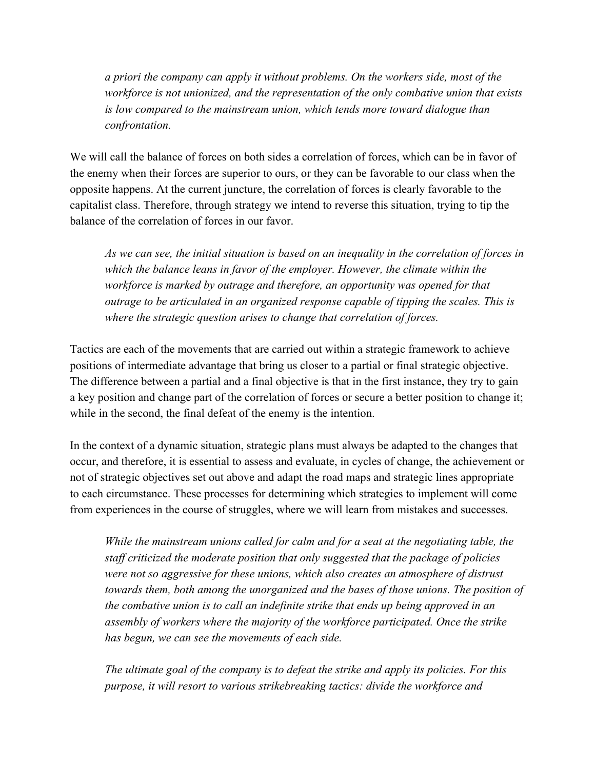*a priori the company can apply it without problems. On the workers side, most of the workforce is not unionized, and the representation of the only combative union that exists is low compared to the mainstream union, which tends more toward dialogue than confrontation.*

We will call the balance of forces on both sides a correlation of forces, which can be in favor of the enemy when their forces are superior to ours, or they can be favorable to our class when the opposite happens. At the current juncture, the correlation of forces is clearly favorable to the capitalist class. Therefore, through strategy we intend to reverse this situation, trying to tip the balance of the correlation of forces in our favor.

*As we can see, the initial situation is based on an inequality in the correlation of forces in which the balance leans in favor of the employer. However, the climate within the workforce is marked by outrage and therefore, an opportunity was opened for that outrage to be articulated in an organized response capable of tipping the scales. This is where the strategic question arises to change that correlation of forces.*

Tactics are each of the movements that are carried out within a strategic framework to achieve positions of intermediate advantage that bring us closer to a partial or final strategic objective. The difference between a partial and a final objective is that in the first instance, they try to gain a key position and change part of the correlation of forces or secure a better position to change it; while in the second, the final defeat of the enemy is the intention.

In the context of a dynamic situation, strategic plans must always be adapted to the changes that occur, and therefore, it is essential to assess and evaluate, in cycles of change, the achievement or not of strategic objectives set out above and adapt the road maps and strategic lines appropriate to each circumstance. These processes for determining which strategies to implement will come from experiences in the course of struggles, where we will learn from mistakes and successes.

*While the mainstream unions called for calm and for a seat at the negotiating table, the staff criticized the moderate position that only suggested that the package of policies were not so aggressive for these unions, which also creates an atmosphere of distrust towards them, both among the unorganized and the bases of those unions. The position of the combative union is to call an indefinite strike that ends up being approved in an assembly of workers where the majority of the workforce participated. Once the strike has begun, we can see the movements of each side.*

*The ultimate goal of the company is to defeat the strike and apply its policies. For this purpose, it will resort to various strikebreaking tactics: divide the workforce and*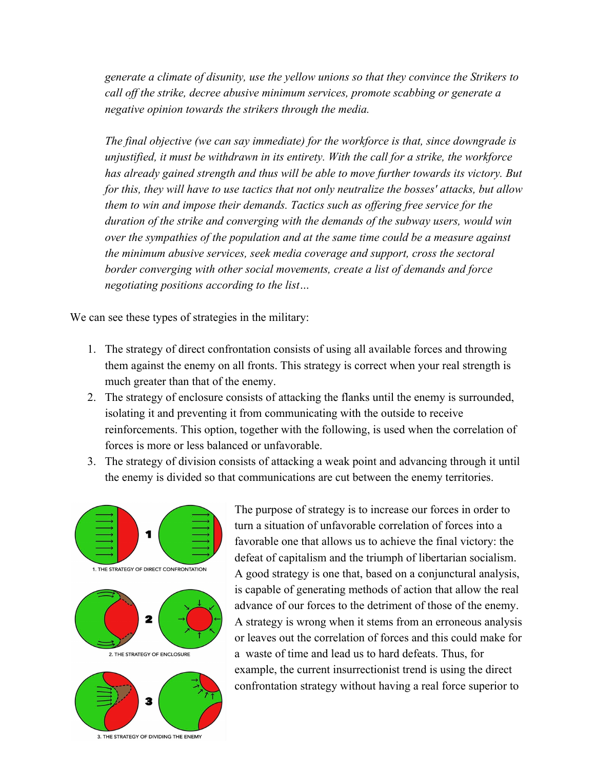*generate a climate of disunity, use the yellow unions so that they convince the Strikers to call off the strike, decree abusive minimum services, promote scabbing or generate a negative opinion towards the strikers through the media.*

*The final objective (we can say immediate) for the workforce is that, since downgrade is unjustified, it must be withdrawn in its entirety. With the call for a strike, the workforce has already gained strength and thus will be able to move further towards its victory. But for this, they will have to use tactics that not only neutralize the bosses' attacks, but allow them to win and impose their demands. Tactics such as offering free service for the duration of the strike and converging with the demands of the subway users, would win over the sympathies of the population and at the same time could be a measure against the minimum abusive services, seek media coverage and support, cross the sectoral border converging with other social movements, create a list of demands and force negotiating positions according to the list…*

We can see these types of strategies in the military:

- 1. The strategy of direct confrontation consists of using all available forces and throwing them against the enemy on all fronts. This strategy is correct when your real strength is much greater than that of the enemy.
- 2. The strategy of enclosure consists of attacking the flanks until the enemy is surrounded, isolating it and preventing it from communicating with the outside to receive reinforcements. This option, together with the following, is used when the correlation of forces is more or less balanced or unfavorable.
- 3. The strategy of division consists of attacking a weak point and advancing through it until the enemy is divided so that communications are cut between the enemy territories.



The purpose of strategy is to increase our forces in order to turn a situation of unfavorable correlation of forces into a favorable one that allows us to achieve the final victory: the defeat of capitalism and the triumph of libertarian socialism. A good strategy is one that, based on a conjunctural analysis, is capable of generating methods of action that allow the real advance of our forces to the detriment of those of the enemy. A strategy is wrong when it stems from an erroneous analysis or leaves out the correlation of forces and this could make for a waste of time and lead us to hard defeats. Thus, for example, the current insurrectionist trend is using the direct confrontation strategy without having a real force superior to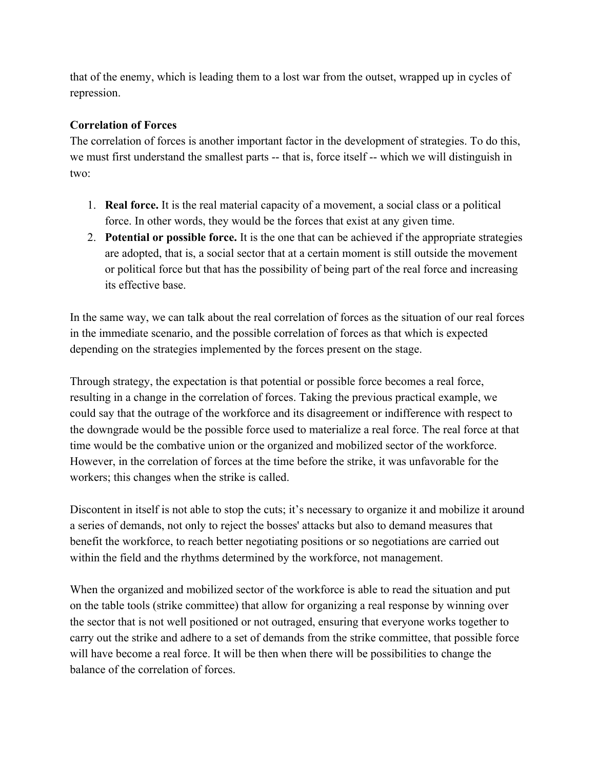that of the enemy, which is leading them to a lost war from the outset, wrapped up in cycles of repression.

# **Correlation of Forces**

The correlation of forces is another important factor in the development of strategies. To do this, we must first understand the smallest parts -- that is, force itself -- which we will distinguish in two:

- 1. **Real force.** It is the real material capacity of a movement, a social class or a political force. In other words, they would be the forces that exist at any given time.
- 2. **Potential or possible force.** It is the one that can be achieved if the appropriate strategies are adopted, that is, a social sector that at a certain moment is still outside the movement or political force but that has the possibility of being part of the real force and increasing its effective base.

In the same way, we can talk about the real correlation of forces as the situation of our real forces in the immediate scenario, and the possible correlation of forces as that which is expected depending on the strategies implemented by the forces present on the stage.

Through strategy, the expectation is that potential or possible force becomes a real force, resulting in a change in the correlation of forces. Taking the previous practical example, we could say that the outrage of the workforce and its disagreement or indifference with respect to the downgrade would be the possible force used to materialize a real force. The real force at that time would be the combative union or the organized and mobilized sector of the workforce. However, in the correlation of forces at the time before the strike, it was unfavorable for the workers; this changes when the strike is called.

Discontent in itself is not able to stop the cuts; it's necessary to organize it and mobilize it around a series of demands, not only to reject the bosses' attacks but also to demand measures that benefit the workforce, to reach better negotiating positions or so negotiations are carried out within the field and the rhythms determined by the workforce, not management.

When the organized and mobilized sector of the workforce is able to read the situation and put on the table tools (strike committee) that allow for organizing a real response by winning over the sector that is not well positioned or not outraged, ensuring that everyone works together to carry out the strike and adhere to a set of demands from the strike committee, that possible force will have become a real force. It will be then when there will be possibilities to change the balance of the correlation of forces.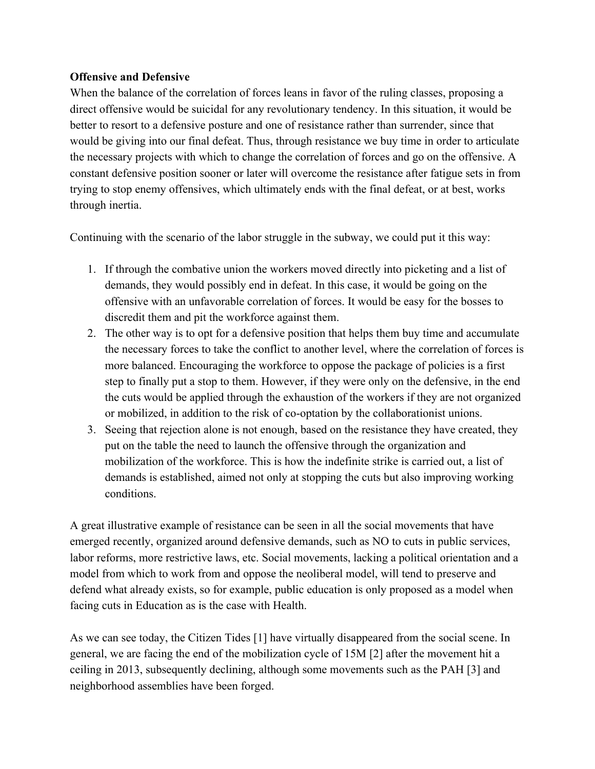#### **Offensive and Defensive**

When the balance of the correlation of forces leans in favor of the ruling classes, proposing a direct offensive would be suicidal for any revolutionary tendency. In this situation, it would be better to resort to a defensive posture and one of resistance rather than surrender, since that would be giving into our final defeat. Thus, through resistance we buy time in order to articulate the necessary projects with which to change the correlation of forces and go on the offensive. A constant defensive position sooner or later will overcome the resistance after fatigue sets in from trying to stop enemy offensives, which ultimately ends with the final defeat, or at best, works through inertia.

Continuing with the scenario of the labor struggle in the subway, we could put it this way:

- 1. If through the combative union the workers moved directly into picketing and a list of demands, they would possibly end in defeat. In this case, it would be going on the offensive with an unfavorable correlation of forces. It would be easy for the bosses to discredit them and pit the workforce against them.
- 2. The other way is to opt for a defensive position that helps them buy time and accumulate the necessary forces to take the conflict to another level, where the correlation of forces is more balanced. Encouraging the workforce to oppose the package of policies is a first step to finally put a stop to them. However, if they were only on the defensive, in the end the cuts would be applied through the exhaustion of the workers if they are not organized or mobilized, in addition to the risk of co-optation by the collaborationist unions.
- 3. Seeing that rejection alone is not enough, based on the resistance they have created, they put on the table the need to launch the offensive through the organization and mobilization of the workforce. This is how the indefinite strike is carried out, a list of demands is established, aimed not only at stopping the cuts but also improving working conditions.

A great illustrative example of resistance can be seen in all the social movements that have emerged recently, organized around defensive demands, such as NO to cuts in public services, labor reforms, more restrictive laws, etc. Social movements, lacking a political orientation and a model from which to work from and oppose the neoliberal model, will tend to preserve and defend what already exists, so for example, public education is only proposed as a model when facing cuts in Education as is the case with Health.

As we can see today, the Citizen Tides [1] have virtually disappeared from the social scene. In general, we are facing the end of the mobilization cycle of 15M [2] after the movement hit a ceiling in 2013, subsequently declining, although some movements such as the PAH [3] and neighborhood assemblies have been forged.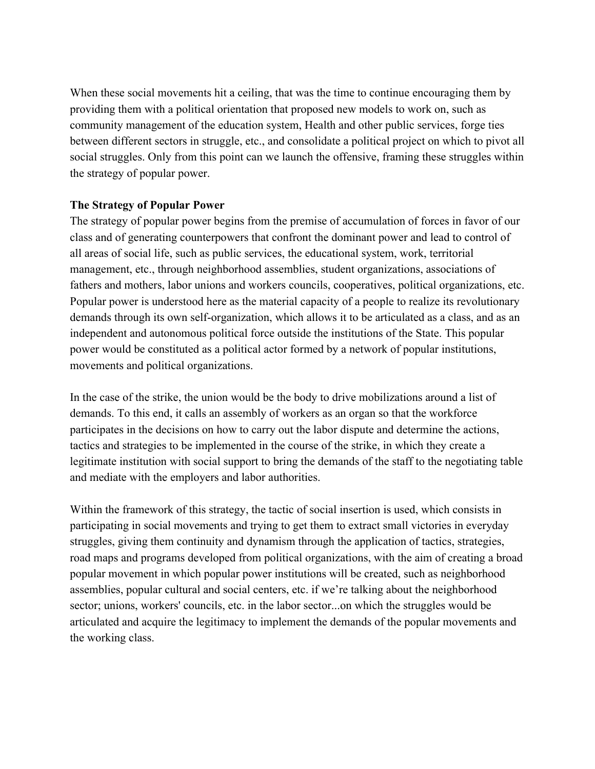When these social movements hit a ceiling, that was the time to continue encouraging them by providing them with a political orientation that proposed new models to work on, such as community management of the education system, Health and other public services, forge ties between different sectors in struggle, etc., and consolidate a political project on which to pivot all social struggles. Only from this point can we launch the offensive, framing these struggles within the strategy of popular power.

## **The Strategy of Popular Power**

The strategy of popular power begins from the premise of accumulation of forces in favor of our class and of generating counterpowers that confront the dominant power and lead to control of all areas of social life, such as public services, the educational system, work, territorial management, etc., through neighborhood assemblies, student organizations, associations of fathers and mothers, labor unions and workers councils, cooperatives, political organizations, etc. Popular power is understood here as the material capacity of a people to realize its revolutionary demands through its own self-organization, which allows it to be articulated as a class, and as an independent and autonomous political force outside the institutions of the State. This popular power would be constituted as a political actor formed by a network of popular institutions, movements and political organizations.

In the case of the strike, the union would be the body to drive mobilizations around a list of demands. To this end, it calls an assembly of workers as an organ so that the workforce participates in the decisions on how to carry out the labor dispute and determine the actions, tactics and strategies to be implemented in the course of the strike, in which they create a legitimate institution with social support to bring the demands of the staff to the negotiating table and mediate with the employers and labor authorities.

Within the framework of this strategy, the tactic of social insertion is used, which consists in participating in social movements and trying to get them to extract small victories in everyday struggles, giving them continuity and dynamism through the application of tactics, strategies, road maps and programs developed from political organizations, with the aim of creating a broad popular movement in which popular power institutions will be created, such as neighborhood assemblies, popular cultural and social centers, etc. if we're talking about the neighborhood sector; unions, workers' councils, etc. in the labor sector...on which the struggles would be articulated and acquire the legitimacy to implement the demands of the popular movements and the working class.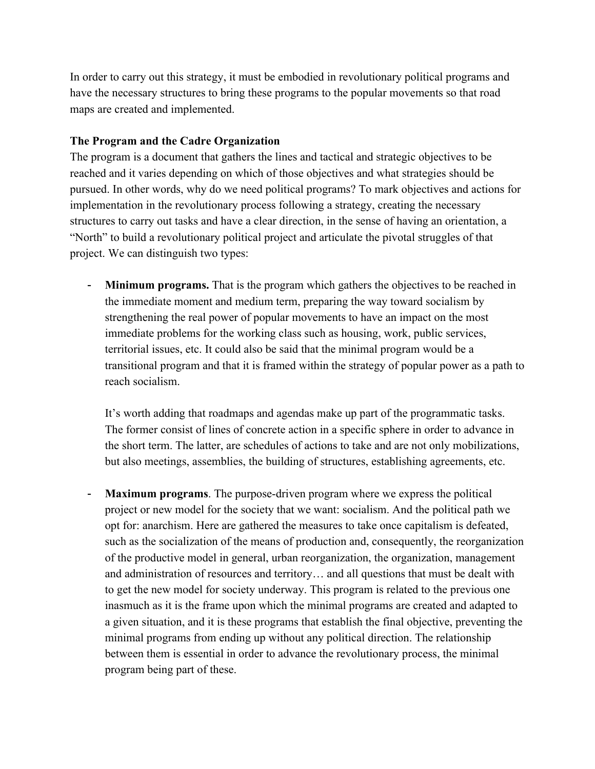In order to carry out this strategy, it must be embodied in revolutionary political programs and have the necessary structures to bring these programs to the popular movements so that road maps are created and implemented.

#### **The Program and the Cadre Organization**

The program is a document that gathers the lines and tactical and strategic objectives to be reached and it varies depending on which of those objectives and what strategies should be pursued. In other words, why do we need political programs? To mark objectives and actions for implementation in the revolutionary process following a strategy, creating the necessary structures to carry out tasks and have a clear direction, in the sense of having an orientation, a "North" to build a revolutionary political project and articulate the pivotal struggles of that project. We can distinguish two types:

**Minimum programs.** That is the program which gathers the objectives to be reached in the immediate moment and medium term, preparing the way toward socialism by strengthening the real power of popular movements to have an impact on the most immediate problems for the working class such as housing, work, public services, territorial issues, etc. It could also be said that the minimal program would be a transitional program and that it is framed within the strategy of popular power as a path to reach socialism.

It's worth adding that roadmaps and agendas make up part of the programmatic tasks. The former consist of lines of concrete action in a specific sphere in order to advance in the short term. The latter, are schedules of actions to take and are not only mobilizations, but also meetings, assemblies, the building of structures, establishing agreements, etc.

- **Maximum programs**. The purpose-driven program where we express the political project or new model for the society that we want: socialism. And the political path we opt for: anarchism. Here are gathered the measures to take once capitalism is defeated, such as the socialization of the means of production and, consequently, the reorganization of the productive model in general, urban reorganization, the organization, management and administration of resources and territory… and all questions that must be dealt with to get the new model for society underway. This program is related to the previous one inasmuch as it is the frame upon which the minimal programs are created and adapted to a given situation, and it is these programs that establish the final objective, preventing the minimal programs from ending up without any political direction. The relationship between them is essential in order to advance the revolutionary process, the minimal program being part of these.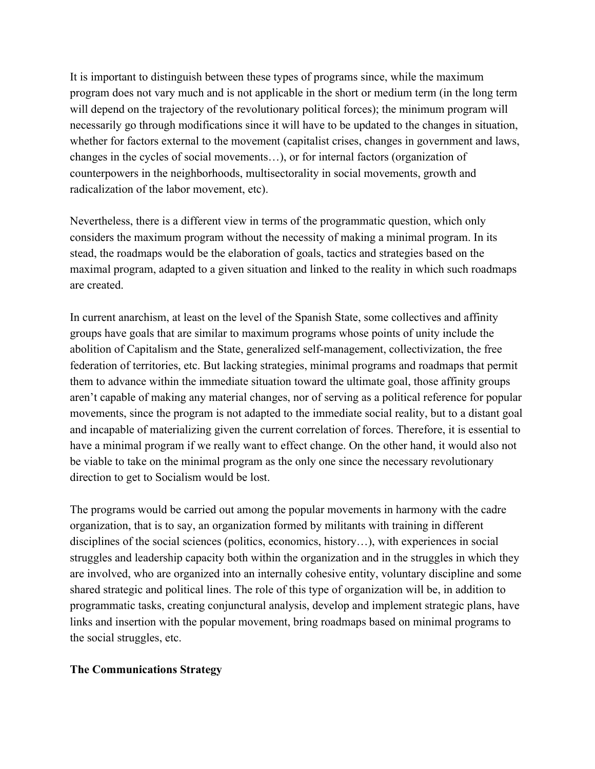It is important to distinguish between these types of programs since, while the maximum program does not vary much and is not applicable in the short or medium term (in the long term will depend on the trajectory of the revolutionary political forces); the minimum program will necessarily go through modifications since it will have to be updated to the changes in situation, whether for factors external to the movement (capitalist crises, changes in government and laws, changes in the cycles of social movements…), or for internal factors (organization of counterpowers in the neighborhoods, multisectorality in social movements, growth and radicalization of the labor movement, etc).

Nevertheless, there is a different view in terms of the programmatic question, which only considers the maximum program without the necessity of making a minimal program. In its stead, the roadmaps would be the elaboration of goals, tactics and strategies based on the maximal program, adapted to a given situation and linked to the reality in which such roadmaps are created.

In current anarchism, at least on the level of the Spanish State, some collectives and affinity groups have goals that are similar to maximum programs whose points of unity include the abolition of Capitalism and the State, generalized self-management, collectivization, the free federation of territories, etc. But lacking strategies, minimal programs and roadmaps that permit them to advance within the immediate situation toward the ultimate goal, those affinity groups aren't capable of making any material changes, nor of serving as a political reference for popular movements, since the program is not adapted to the immediate social reality, but to a distant goal and incapable of materializing given the current correlation of forces. Therefore, it is essential to have a minimal program if we really want to effect change. On the other hand, it would also not be viable to take on the minimal program as the only one since the necessary revolutionary direction to get to Socialism would be lost.

The programs would be carried out among the popular movements in harmony with the cadre organization, that is to say, an organization formed by militants with training in different disciplines of the social sciences (politics, economics, history…), with experiences in social struggles and leadership capacity both within the organization and in the struggles in which they are involved, who are organized into an internally cohesive entity, voluntary discipline and some shared strategic and political lines. The role of this type of organization will be, in addition to programmatic tasks, creating conjunctural analysis, develop and implement strategic plans, have links and insertion with the popular movement, bring roadmaps based on minimal programs to the social struggles, etc.

## **The Communications Strategy**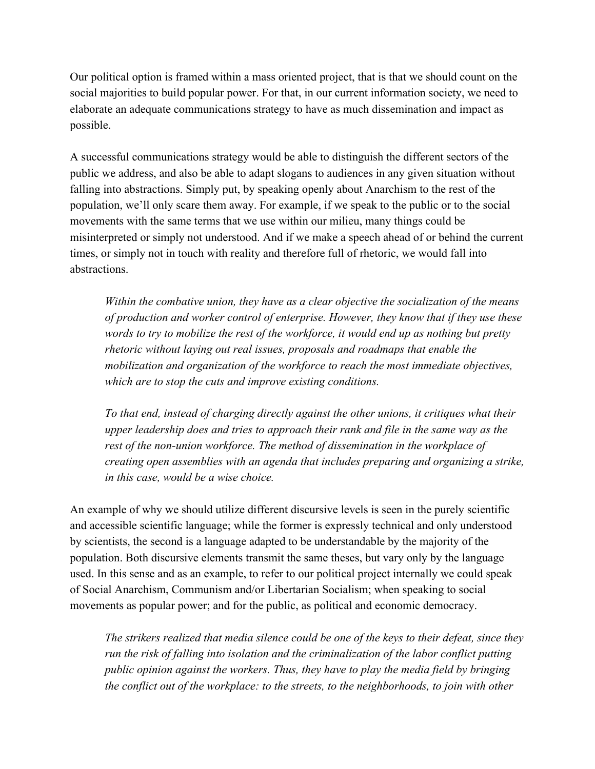Our political option is framed within a mass oriented project, that is that we should count on the social majorities to build popular power. For that, in our current information society, we need to elaborate an adequate communications strategy to have as much dissemination and impact as possible.

A successful communications strategy would be able to distinguish the different sectors of the public we address, and also be able to adapt slogans to audiences in any given situation without falling into abstractions. Simply put, by speaking openly about Anarchism to the rest of the population, we'll only scare them away. For example, if we speak to the public or to the social movements with the same terms that we use within our milieu, many things could be misinterpreted or simply not understood. And if we make a speech ahead of or behind the current times, or simply not in touch with reality and therefore full of rhetoric, we would fall into abstractions.

*Within the combative union, they have as a clear objective the socialization of the means of production and worker control of enterprise. However, they know that if they use these words to try to mobilize the rest of the workforce, it would end up as nothing but pretty rhetoric without laying out real issues, proposals and roadmaps that enable the mobilization and organization of the workforce to reach the most immediate objectives, which are to stop the cuts and improve existing conditions.*

*To that end, instead of charging directly against the other unions, it critiques what their upper leadership does and tries to approach their rank and file in the same way as the rest of the non-union workforce. The method of dissemination in the workplace of creating open assemblies with an agenda that includes preparing and organizing a strike, in this case, would be a wise choice.*

An example of why we should utilize different discursive levels is seen in the purely scientific and accessible scientific language; while the former is expressly technical and only understood by scientists, the second is a language adapted to be understandable by the majority of the population. Both discursive elements transmit the same theses, but vary only by the language used. In this sense and as an example, to refer to our political project internally we could speak of Social Anarchism, Communism and/or Libertarian Socialism; when speaking to social movements as popular power; and for the public, as political and economic democracy.

*The strikers realized that media silence could be one of the keys to their defeat, since they run the risk of falling into isolation and the criminalization of the labor conflict putting public opinion against the workers. Thus, they have to play the media field by bringing the conflict out of the workplace: to the streets, to the neighborhoods, to join with other*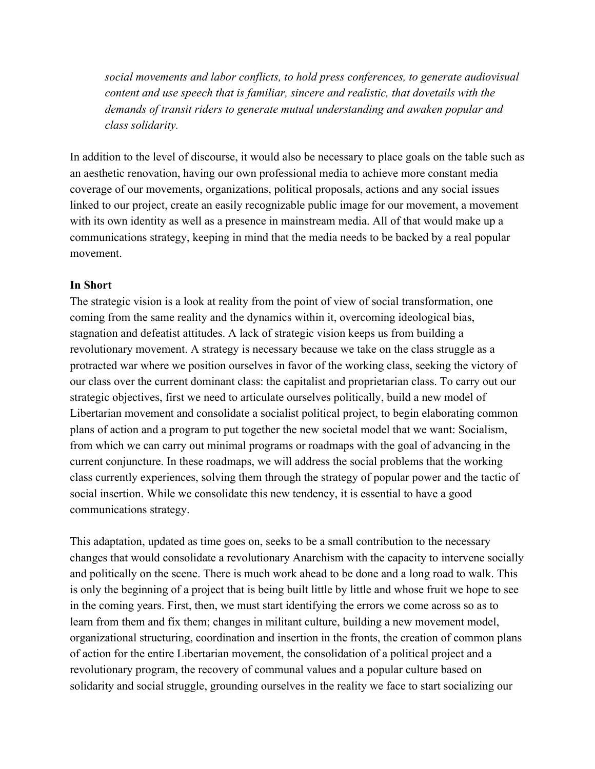*social movements and labor conflicts, to hold press conferences, to generate audiovisual content and use speech that is familiar, sincere and realistic, that dovetails with the demands of transit riders to generate mutual understanding and awaken popular and class solidarity.*

In addition to the level of discourse, it would also be necessary to place goals on the table such as an aesthetic renovation, having our own professional media to achieve more constant media coverage of our movements, organizations, political proposals, actions and any social issues linked to our project, create an easily recognizable public image for our movement, a movement with its own identity as well as a presence in mainstream media. All of that would make up a communications strategy, keeping in mind that the media needs to be backed by a real popular movement.

#### **In Short**

The strategic vision is a look at reality from the point of view of social transformation, one coming from the same reality and the dynamics within it, overcoming ideological bias, stagnation and defeatist attitudes. A lack of strategic vision keeps us from building a revolutionary movement. A strategy is necessary because we take on the class struggle as a protracted war where we position ourselves in favor of the working class, seeking the victory of our class over the current dominant class: the capitalist and proprietarian class. To carry out our strategic objectives, first we need to articulate ourselves politically, build a new model of Libertarian movement and consolidate a socialist political project, to begin elaborating common plans of action and a program to put together the new societal model that we want: Socialism, from which we can carry out minimal programs or roadmaps with the goal of advancing in the current conjuncture. In these roadmaps, we will address the social problems that the working class currently experiences, solving them through the strategy of popular power and the tactic of social insertion. While we consolidate this new tendency, it is essential to have a good communications strategy.

This adaptation, updated as time goes on, seeks to be a small contribution to the necessary changes that would consolidate a revolutionary Anarchism with the capacity to intervene socially and politically on the scene. There is much work ahead to be done and a long road to walk. This is only the beginning of a project that is being built little by little and whose fruit we hope to see in the coming years. First, then, we must start identifying the errors we come across so as to learn from them and fix them; changes in militant culture, building a new movement model, organizational structuring, coordination and insertion in the fronts, the creation of common plans of action for the entire Libertarian movement, the consolidation of a political project and a revolutionary program, the recovery of communal values and a popular culture based on solidarity and social struggle, grounding ourselves in the reality we face to start socializing our